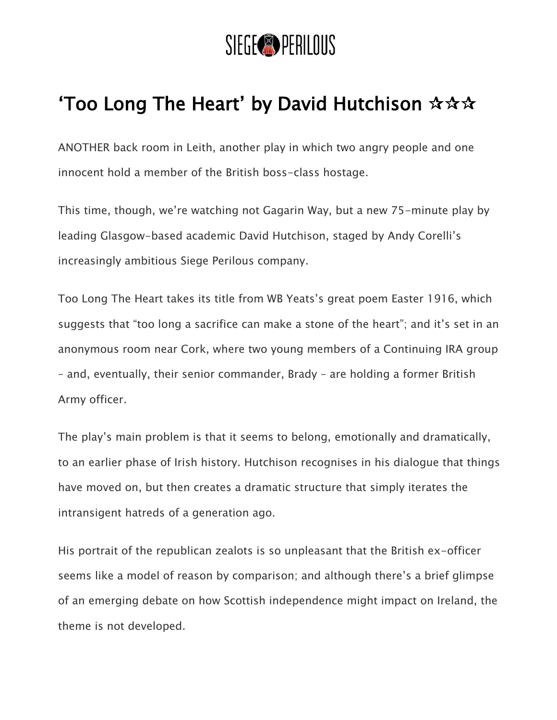

## 'Too Long The Heart' by David Hutchison  $\mathbf{\hat{x}} \mathbf{\hat{x}} \mathbf{\hat{x}}$

ANOTHER back room in Leith, another play in which two angry people and one innocent hold a member of the British boss-class hostage.

This time, though, we're watching not Gagarin Way, but a new 75-minute play by leading Glasgow-based academic David Hutchison, staged by Andy Corelli's increasingly ambitious Siege Perilous company.

Too Long The Heart takes its title from WB Yeats's great poem Easter 1916, which suggests that "too long a sacrifice can make a stone of the heart"; and it's set in an anonymous room near Cork, where two young members of a Continuing IRA group – and, eventually, their senior commander, Brady – are holding a former British Army officer.

The play's main problem is that it seems to belong, emotionally and dramatically, to an earlier phase of Irish history. Hutchison recognises in his dialogue that things have moved on, but then creates a dramatic structure that simply iterates the intransigent hatreds of a generation ago.

His portrait of the republican zealots is so unpleasant that the British ex-officer seems like a model of reason by comparison; and although there's a brief glimpse of an emerging debate on how Scottish independence might impact on Ireland, the theme is not developed.